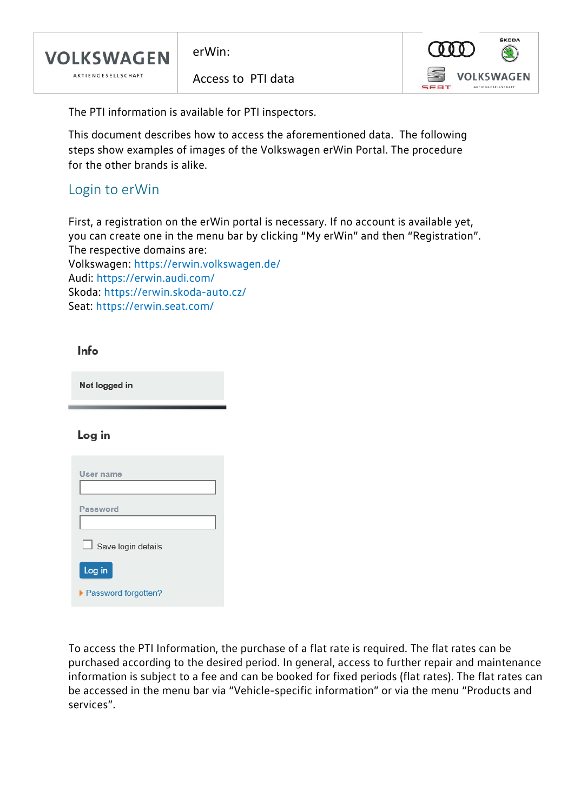

erWin:

Access to PTI data



The PTI information is available for PTI inspectors.

This document describes how to access the aforementioned data. The following steps show examples of images of the Volkswagen erWin Portal. The procedure for the other brands is alike.

### Login to erWin

First, a registration on the erWin portal is necessary. If no account is available yet, you can create one in the menu bar by clicking "My erWin" and then "Registration". The respective domains are:

Volkswagen:<https://erwin.volkswagen.de/> Audi:<https://erwin.audi.com/> Skoda:<https://erwin.skoda-auto.cz/> Seat:<https://erwin.seat.com/>

Info

Not logged in

#### Log in

| User name             |
|-----------------------|
|                       |
| Password              |
|                       |
| Save login details    |
| Log in                |
| ▶ Password forgotten? |

To access the PTI Information, the purchase of a flat rate is required. The flat rates can be purchased according to the desired period. In general, access to further repair and maintenance information is subject to a fee and can be booked for fixed periods (flat rates). The flat rates can be accessed in the menu bar via "Vehicle-specific information" or via the menu "Products and services".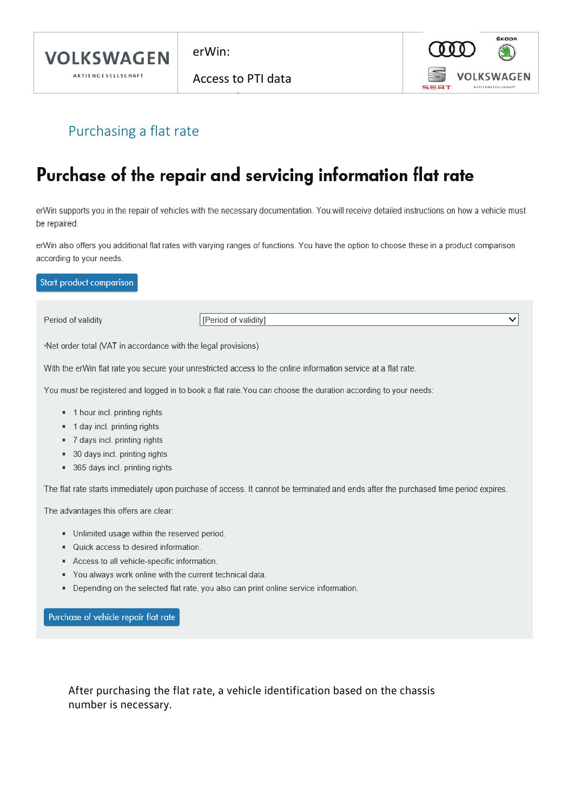

 $erWin$ 

Access to PTI data



V

## Purchasing a flat rate

# Purchase of the repair and servicing information flat rate

erWin supports you in the repair of vehicles with the necessary documentation. You will receive detailed instructions on how a vehicle must be repaired.

erWin also offers you additional flat rates with varying ranges of functions. You have the option to choose these in a product comparison according to your needs.

Start product comparison

Period of validity

[Period of validity]

\*Net order total (VAT in accordance with the legal provisions)

With the erWin flat rate you secure your unrestricted access to the online information service at a flat rate.

You must be registered and logged in to book a flat rate. You can choose the duration according to your needs:

- " 1 hour incl. printing rights
- " 1 day incl. printing rights
- " 7 days incl. printing rights
- 30 days incl. printing rights
- 365 days incl. printing rights

The flat rate starts immediately upon purchase of access. It cannot be terminated and ends after the purchased time period expires.

The advantages this offers are clear:

- Unlimited usage within the reserved period.
- Quick access to desired information.
- Access to all vehicle-specific information.
- You always work online with the current technical data.
- Depending on the selected flat rate, you also can print online service information.

Purchase of vehicle repair flat rate

After purchasing the flat rate, a vehicle identification based on the chassis number is necessary.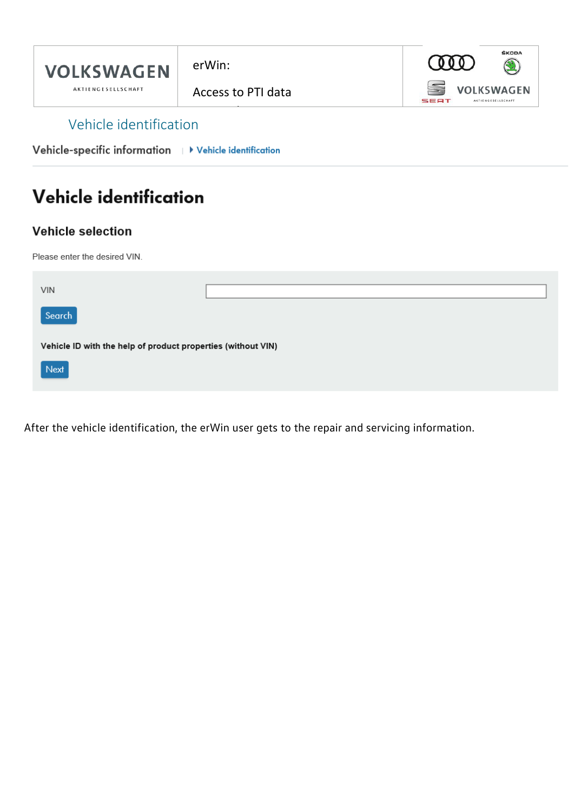

Vehicle-specific information | > Vehicle identification

# Vehicle identification

#### **Vehicle selection**

Please enter the desired VIN.

| <b>VIN</b>                                                   |  |  |  |  |  |
|--------------------------------------------------------------|--|--|--|--|--|
| Search                                                       |  |  |  |  |  |
| Vehicle ID with the help of product properties (without VIN) |  |  |  |  |  |
| Next                                                         |  |  |  |  |  |

After the vehicle identification, the erWin user gets to the repair and servicing information.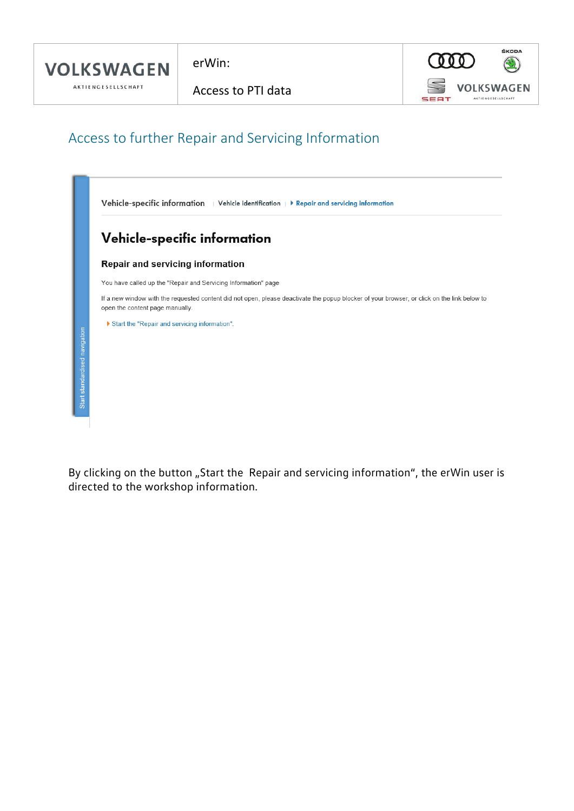erWin:

Access to PTI data

f



## Access to further Repair and Servicing Information



By clicking on the button "Start the Repair and servicing information", the erWin user is directed to the workshop information.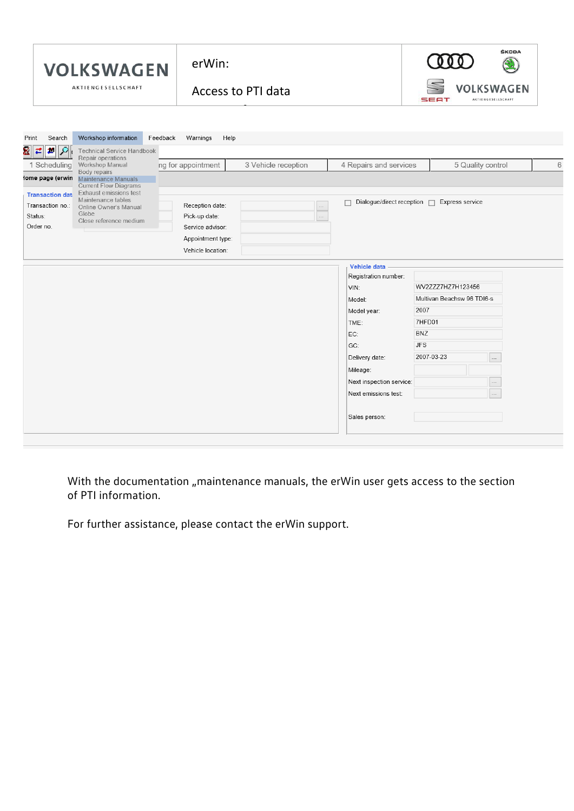



f

| Search<br>Print                                                     | Workshop information                                                                                     | Feedback<br>Help<br>Warnings                         |                     |                                       |            |                            |                                  |
|---------------------------------------------------------------------|----------------------------------------------------------------------------------------------------------|------------------------------------------------------|---------------------|---------------------------------------|------------|----------------------------|----------------------------------|
| ≉∣়ু<br>×<br>∣≓<br>1 Scheduling                                     | Technical Service Handbook<br>Repair operations<br>Workshop Manual                                       | ng for appointment                                   | 3 Vehicle reception | 4 Repairs and services                |            | 5 Quality control          | 6                                |
| lome page (erwin                                                    | Body repairs<br>Maintenance Manuals<br><b>Current Flow Diagrams</b>                                      |                                                      |                     |                                       |            |                            |                                  |
| <b>Transaction data</b><br>Transaction no.:<br>Status:<br>Order no. | Exhaust emissions test<br>Maintenance tables<br>Online Owner's Manual<br>Globe<br>Close reference medium | Reception date:<br>Pick-up date:<br>Service advisor: | $\ldots$<br>$\dots$ | Dialogue/direct reception $\Box$<br>П |            |                            |                                  |
|                                                                     |                                                                                                          | Appointment type:<br>Vehicle location:               |                     |                                       |            |                            |                                  |
|                                                                     |                                                                                                          |                                                      |                     | <b>Vehicle data</b>                   |            |                            |                                  |
|                                                                     |                                                                                                          |                                                      |                     | Registration number:                  |            |                            |                                  |
|                                                                     |                                                                                                          |                                                      |                     | VIN:                                  |            | WV2ZZZ7HZ7H123456          |                                  |
|                                                                     |                                                                                                          |                                                      |                     | Model:                                |            | Multivan Beachsw 96 TDI6-s |                                  |
|                                                                     |                                                                                                          |                                                      |                     | Model year:                           | 2007       |                            |                                  |
|                                                                     |                                                                                                          |                                                      |                     | TME:                                  | 7HFD01     |                            |                                  |
|                                                                     |                                                                                                          |                                                      |                     | EC:                                   | <b>BNZ</b> |                            |                                  |
|                                                                     |                                                                                                          |                                                      |                     | GC:                                   | <b>JFS</b> |                            |                                  |
|                                                                     |                                                                                                          |                                                      |                     | Delivery date:                        | 2007-03-23 |                            | $\cdots$                         |
|                                                                     |                                                                                                          |                                                      |                     | Mileage:                              |            |                            |                                  |
|                                                                     |                                                                                                          |                                                      |                     | Next inspection service:              |            |                            |                                  |
|                                                                     |                                                                                                          |                                                      |                     | Next emissions test:                  |            |                            | $\ddot{\phantom{0}}$<br>$\cdots$ |
|                                                                     |                                                                                                          |                                                      |                     |                                       |            |                            |                                  |
|                                                                     |                                                                                                          |                                                      |                     | Sales person:                         |            |                            |                                  |
|                                                                     |                                                                                                          |                                                      |                     |                                       |            |                            |                                  |

With the documentation "maintenance manuals, the erWin user gets access to the section of PTI information.

For further assistance, please contact the erWin support.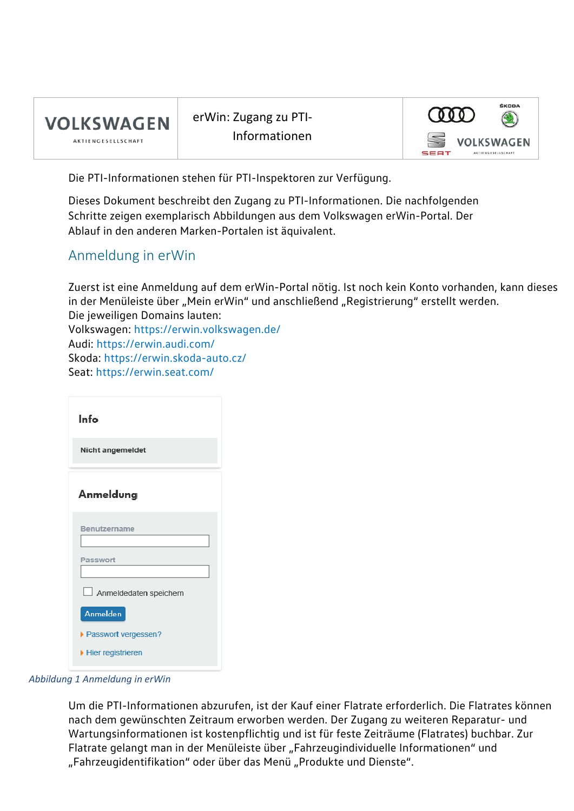

erWin: Zugang zu PTI-Informationen



Die PTI-Informationen stehen für PTI-Inspektoren zur Verfügung.

Dieses Dokument beschreibt den Zugang zu PTI-Informationen. Die nachfolgenden Schritte zeigen exemplarisch Abbildungen aus dem Volkswagen erWin-Portal. Der Ablauf in den anderen Marken-Portalen ist äquivalent.

#### Anmeldung in erWin

Zuerst ist eine Anmeldung auf dem erWin-Portal nötig. Ist noch kein Konto vorhanden, kann dieses in der Menüleiste über "Mein erWin" und anschließend "Registrierung" erstellt werden. Die jeweiligen Domains lauten: Volkswagen:<https://erwin.volkswagen.de/> Audi:<https://erwin.audi.com/>

Skoda:<https://erwin.skoda-auto.cz/>

Seat:<https://erwin.seat.com/>

| Info                   |
|------------------------|
| Nicht angemeldet       |
| Anmeldung              |
| Benutzername           |
| Passwort               |
| Anmeldedaten speichern |
| Anmelden               |
| ▶ Passwort vergessen?  |
| Hier registrieren      |

*Abbildung 1 Anmeldung in erWin*

Um die PTI-Informationen abzurufen, ist der Kauf einer Flatrate erforderlich. Die Flatrates können nach dem gewünschten Zeitraum erworben werden. Der Zugang zu weiteren Reparatur- und Wartungsinformationen ist kostenpflichtig und ist für feste Zeiträume (Flatrates) buchbar. Zur Flatrate gelangt man in der Menüleiste über "Fahrzeugindividuelle Informationen" und "Fahrzeugidentifikation" oder über das Menü "Produkte und Dienste".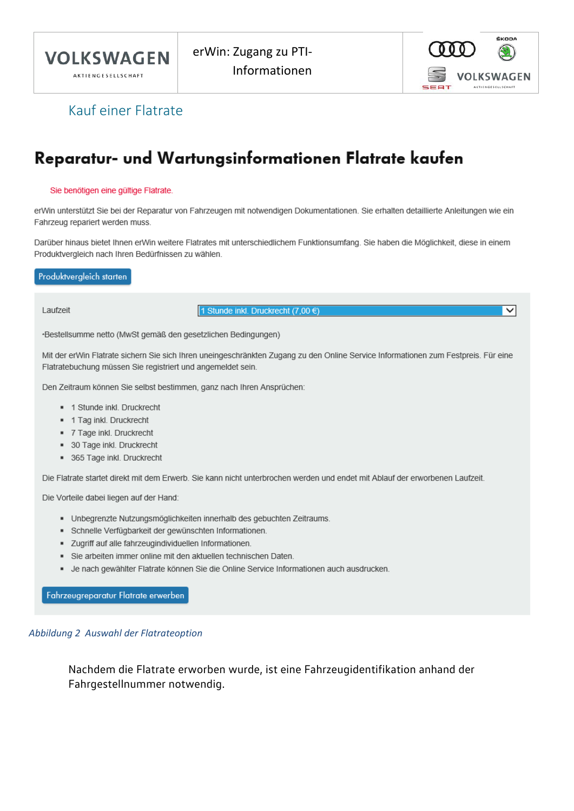



 $\overline{\mathsf{v}}$ 

### Kauf einer Flatrate

## Reparatur- und Wartungsinformationen Flatrate kaufen

#### Sie benötigen eine gültige Flatrate.

erWin unterstützt Sie bei der Reparatur von Fahrzeugen mit notwendigen Dokumentationen. Sie erhalten detaillierte Anleitungen wie ein Fahrzeug repariert werden muss.

Darüber hinaus bietet Ihnen erWin weitere Flatrates mit unterschiedlichem Funktionsumfang. Sie haben die Möglichkeit, diese in einem Produktvergleich nach Ihren Bedürfnissen zu wählen.

#### Produktvergleich starten

Laufzeit

1 Stunde inkl. Druckrecht (7,00 €)

\*Bestellsumme netto (MwSt gemäß den gesetzlichen Bedingungen)

Mit der erWin Flatrate sichern Sie sich Ihren uneingeschränkten Zugang zu den Online Service Informationen zum Festpreis. Für eine Flatratebuchung müssen Sie registriert und angemeldet sein.

Den Zeitraum können Sie selbst bestimmen, ganz nach Ihren Ansprüchen:

- " 1 Stunde inkl. Druckrecht
- " 1 Tag inkl. Druckrecht
- " 7 Tage inkl. Druckrecht
- 30 Tage inkl. Druckrecht
- \* 365 Tage inkl. Druckrecht

Die Flatrate startet direkt mit dem Erwerb. Sie kann nicht unterbrochen werden und endet mit Ablauf der erworbenen Laufzeit.

Die Vorteile dabei liegen auf der Hand:

- · Unbegrenzte Nutzungsmöglichkeiten innerhalb des gebuchten Zeitraums.
- · Schnelle Verfügbarkeit der gewünschten Informationen.
- " Zugriff auf alle fahrzeugindividuellen Informationen.
- Sie arbeiten immer online mit den aktuellen technischen Daten.
- Je nach gewählter Flatrate können Sie die Online Service Informationen auch ausdrucken.

Fahrzeugreparatur Flatrate erwerben

#### Abbildung 2 Auswahl der Flatrateoption

Nachdem die Flatrate erworben wurde, ist eine Fahrzeugidentifikation anhand der Fahrgestellnummer notwendig.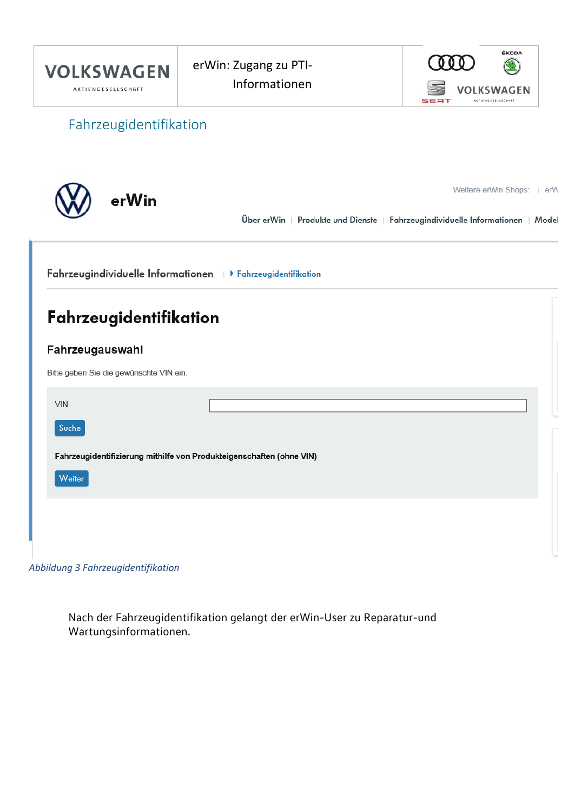

*Abbildung 3 Fahrzeugidentifikation*

Nach der Fahrzeugidentifikation gelangt der erWin-User zu Reparatur-und Wartungsinformationen.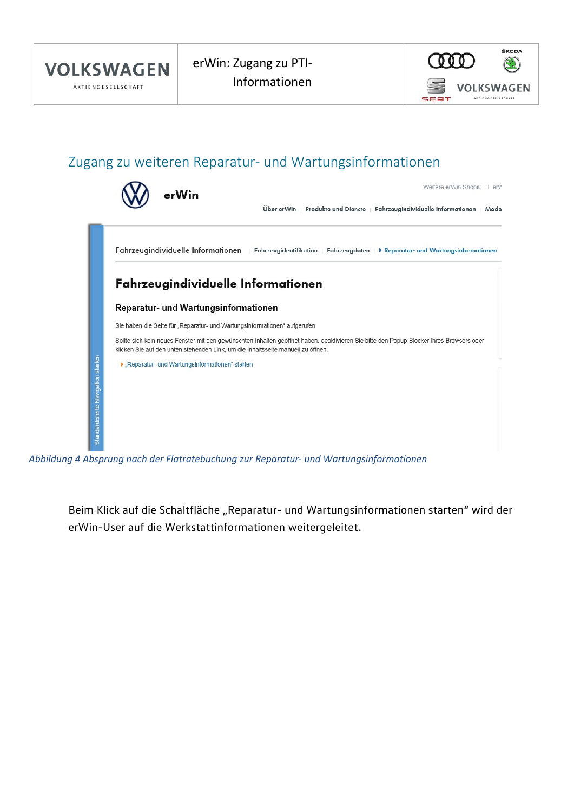

### Zugang zu weiteren Reparatur- und Wartungsinformationen



*Abbildung 4 Absprung nach der Flatratebuchung zur Reparatur- und Wartungsinformationen*

Beim Klick auf die Schaltfläche "Reparatur- und Wartungsinformationen starten" wird der erWin-User auf die Werkstattinformationen weitergeleitet.